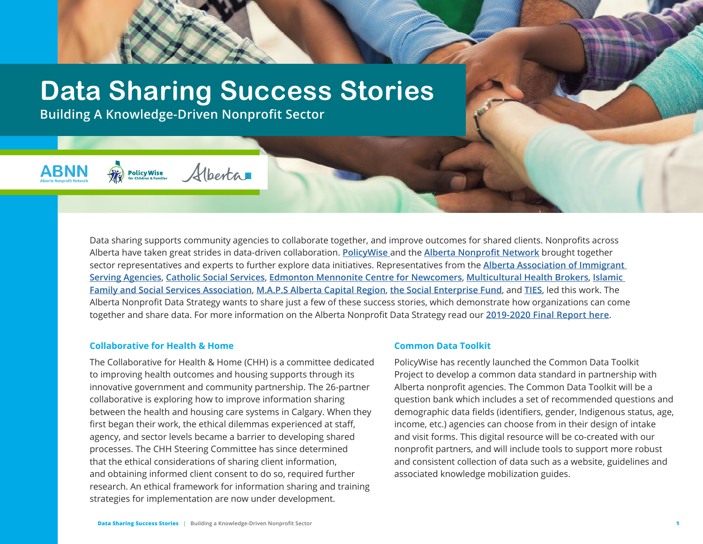# **Data Sharing Success Stories**

Hberta

**Building A Knowledge-Driven Nonprofit Sector**

**Policy Wise** 

**ABNN** 

## Data sharing supports community agencies to collaborate together, and improve outcomes for shared clients. Nonprofits across Alberta have taken great strides in data-driven collaboration. **[PolicyWise](https://policywise.com/)** and the **[Alberta Nonprofit Network](https://albertanonprofits.ca/)** brought together sector representatives and experts to further explore data initiatives. Representatives from the **[Alberta Association of Immigrant](https://aaisa.ca/)  [Serving Agencies](https://aaisa.ca/)**, **[Catholic Social Services](https://www.cssalberta.ca/)**, **[Edmonton Mennonite Centre for Newcomers](https://www.emcn.ab.ca/)**, **[Multicultural Health Brokers](http://mchb.org/)**, **[Islamic](https://www.ifssa.ca/)  [Family and Social Services Association](https://www.ifssa.ca/)**, **[M.A.P.S Alberta Capital Region](https://mapsab.ca/)**, **[the Social Enterprise Fund](https://socialenterprisefund.ca/)**, and **[TIES](https://www.immigrant-education.ca/)**, led this work. The Alberta Nonprofit Data Strategy wants to share just a few of these success stories, which demonstrate how organizations can come together and share data. For more information on the Alberta Nonprofit Data Strategy read our **[2019-2020 Final Report here](https://policywise.com/data-strategy)**.

#### **Collaborative for Health & Home**

The Collaborative for Health & Home (CHH) is a committee dedicated to improving health outcomes and housing supports through its innovative government and community partnership. The 26-partner collaborative is exploring how to improve information sharing between the health and housing care systems in Calgary. When they first began their work, the ethical dilemmas experienced at staff, agency, and sector levels became a barrier to developing shared processes. The CHH Steering Committee has since determined that the ethical considerations of sharing client information, and obtaining informed client consent to do so, required further research. An ethical framework for information sharing and training strategies for implementation are now under development.

#### **Common Data Toolkit**

PolicyWise has recently launched the Common Data Toolkit Project to develop a common data standard in partnership with Alberta nonprofit agencies. The Common Data Toolkit will be a question bank which includes a set of recommended questions and demographic data fields (identifiers, gender, Indigenous status, age, income, etc.) agencies can choose from in their design of intake and visit forms. This digital resource will be co-created with our nonprofit partners, and will include tools to support more robust and consistent collection of data such as a website, guidelines and associated knowledge mobilization guides.